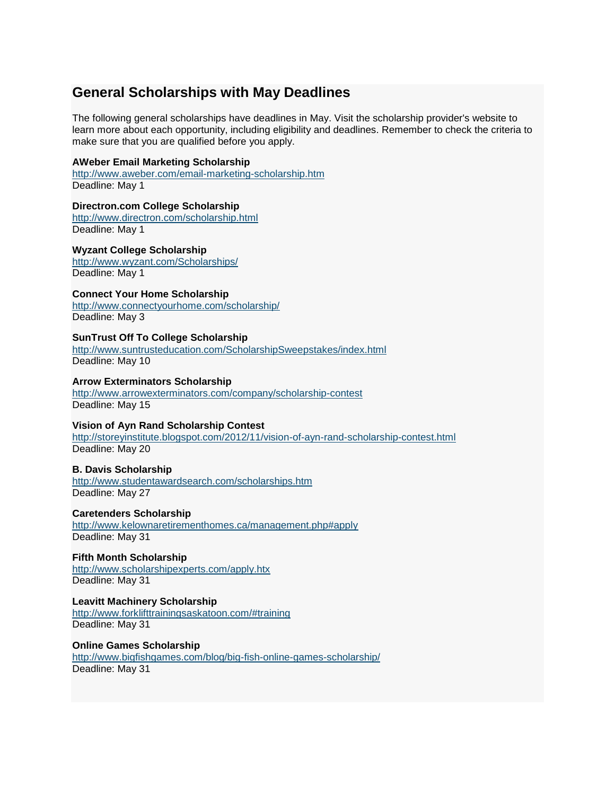# **General Scholarships with May Deadlines**

The following general scholarships have deadlines in May. Visit the scholarship provider's website to learn more about each opportunity, including eligibility and deadlines. Remember to check the criteria to make sure that you are qualified before you apply.

### **AWeber Email Marketing Scholarship**

<http://www.aweber.com/email-marketing-scholarship.htm> Deadline: May 1

#### **Directron.com College Scholarship**

<http://www.directron.com/scholarship.html> Deadline: May 1

## **Wyzant College Scholarship**

<http://www.wyzant.com/Scholarships/> Deadline: May 1

## **Connect Your Home Scholarship**

<http://www.connectyourhome.com/scholarship/> Deadline: May 3

### **SunTrust Off To College Scholarship**

<http://www.suntrusteducation.com/ScholarshipSweepstakes/index.html> Deadline: May 10

#### **Arrow Exterminators Scholarship**

<http://www.arrowexterminators.com/company/scholarship-contest> Deadline: May 15

### **Vision of Ayn Rand Scholarship Contest**

<http://storeyinstitute.blogspot.com/2012/11/vision-of-ayn-rand-scholarship-contest.html> Deadline: May 20

#### **B. Davis Scholarship**

<http://www.studentawardsearch.com/scholarships.htm> Deadline: May 27

#### **Caretenders Scholarship**

<http://www.kelownaretirementhomes.ca/management.php#apply> Deadline: May 31

#### **Fifth Month Scholarship**

<http://www.scholarshipexperts.com/apply.htx> Deadline: May 31

## **Leavitt Machinery Scholarship**

<http://www.forklifttrainingsaskatoon.com/#training> Deadline: May 31

## **Online Games Scholarship**

<http://www.bigfishgames.com/blog/big-fish-online-games-scholarship/> Deadline: May 31